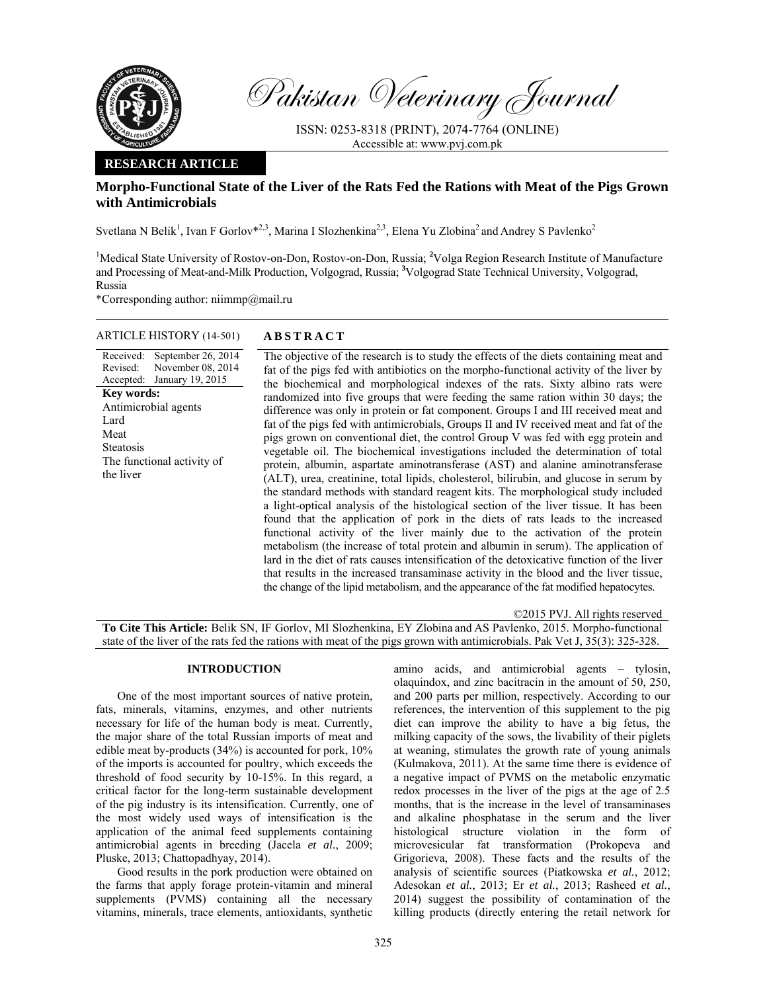

Pakistan Veterinary Journal

ISSN: 0253-8318 (PRINT), 2074-7764 (ONLINE) Accessible at: www.pvj.com.pk

### **RESEARCH ARTICLE**

# **Morpho-Functional State of the Liver of the Rats Fed the Rations with Meat of the Pigs Grown with Antimicrobials**

Svetlana N Belik<sup>1</sup>, Ivan F Gorlov<sup>\*2,3</sup>, Marina I Slozhenkina<sup>2,3</sup>, Elena Yu Zlobina<sup>2</sup> and Andrey S Pavlenko<sup>2</sup>

<sup>1</sup>Medical State University of Rostov-on-Don, Rostov-on-Don, Russia; <sup>2</sup>Volga Region Research Institute of Manufacture and Processing of Meat-and-Milk Production, Volgograd, Russia; **<sup>3</sup>** Volgograd State Technical University, Volgograd, Russia

\*Corresponding author: niimmp@mail.ru

# ARTICLE HISTORY (14-501) **ABSTRACT**  September 26, 2014

Revised: Accepted: November 08, 2014 January 19, 2015 **Key words:**  Antimicrobial agents Lard Meat Steatosis The functional activity of the liver

Received:

 The objective of the research is to study the effects of the diets containing meat and fat of the pigs fed with antibiotics on the morpho-functional activity of the liver by the biochemical and morphological indexes of the rats. Sixty albino rats were randomized into five groups that were feeding the same ration within 30 days; the difference was only in protein or fat component. Groups I and III received meat and fat of the pigs fed with antimicrobials, Groups II and IV received meat and fat of the pigs grown on conventional diet, the control Group V was fed with egg protein and vegetable oil. The biochemical investigations included the determination of total protein, albumin, aspartate aminotransferase (AST) and alanine aminotransferase (ALT), urea, creatinine, total lipids, cholesterol, bilirubin, and glucose in serum by the standard methods with standard reagent kits. The morphological study included a light-optical analysis of the histological section of the liver tissue. It has been found that the application of pork in the diets of rats leads to the increased functional activity of the liver mainly due to the activation of the protein metabolism (the increase of total protein and albumin in serum). The application of lard in the diet of rats causes intensification of the detoxicative function of the liver that results in the increased transaminase activity in the blood and the liver tissue, the change of the lipid metabolism, and the appearance of the fat modified hepatocytes.

©2015 PVJ. All rights reserved **To Cite This Article:** Belik SN, IF Gorlov, MI Slozhenkina, EY Zlobina and AS Pavlenko, 2015. Morpho-functional state of the liver of the rats fed the rations with meat of the pigs grown with antimicrobials. Pak Vet J, 35(3): 325-328.

## **INTRODUCTION**

One of the most important sources of native protein, fats, minerals, vitamins, enzymes, and other nutrients necessary for life of the human body is meat. Currently, the major share of the total Russian imports of meat and edible meat by-products (34%) is accounted for pork, 10% of the imports is accounted for poultry, which exceeds the threshold of food security by 10-15%. In this regard, a critical factor for the long-term sustainable development of the pig industry is its intensification. Currently, one of the most widely used ways of intensification is the application of the animal feed supplements containing antimicrobial agents in breeding (Jacela *et al.*, 2009; Pluske, 2013; Chattopadhyay, 2014).

Good results in the pork production were obtained on the farms that apply forage protein-vitamin and mineral supplements (PVMS) containing all the necessary vitamins, minerals, trace elements, antioxidants, synthetic

amino acids, and antimicrobial agents – tylosin, olaquindox, and zinc bacitracin in the amount of 50, 250, and 200 parts per million, respectively. According to our references, the intervention of this supplement to the pig diet can improve the ability to have a big fetus, the milking capacity of the sows, the livability of their piglets at weaning, stimulates the growth rate of young animals (Kulmakova, 2011). At the same time there is evidence of a negative impact of PVMS on the metabolic enzymatic redox processes in the liver of the pigs at the age of 2.5 months, that is the increase in the level of transaminases and alkaline phosphatase in the serum and the liver histological structure violation in the form of microvesicular fat transformation (Prokopeva and Grigorieva, 2008). These facts and the results of the analysis of scientific sources (Piatkowska *et al.*, 2012; Adesokan *et al.*, 2013; Er *et al.*, 2013; Rasheed *et al.*, 2014) suggest the possibility of contamination of the killing products (directly entering the retail network for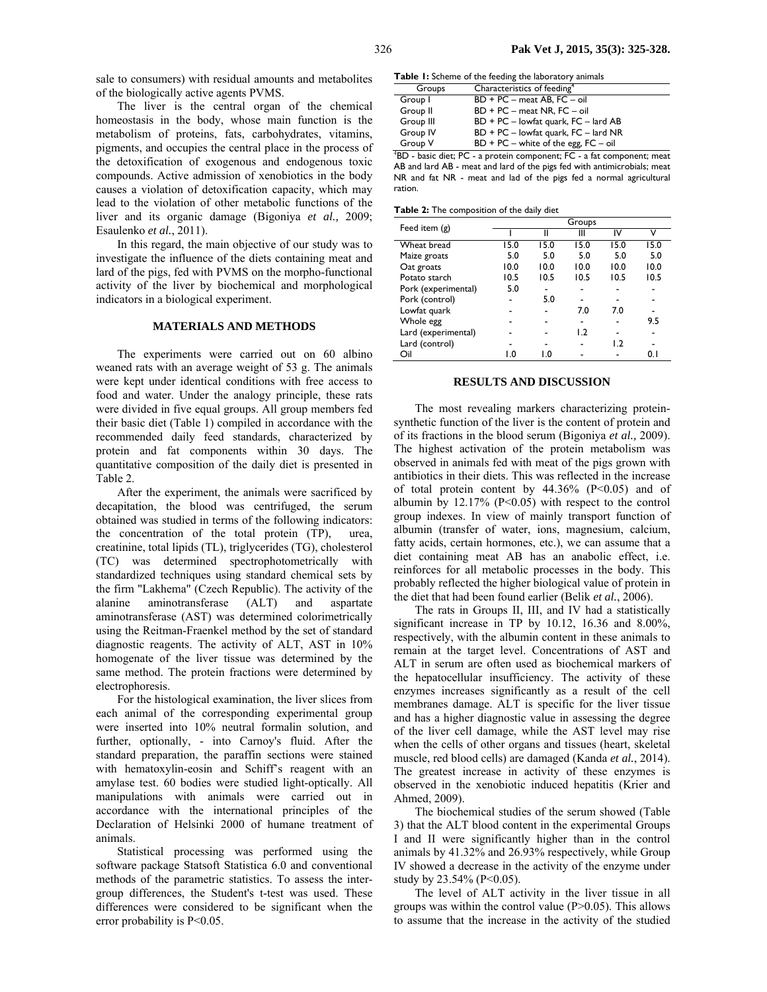sale to consumers) with residual amounts and metabolites of the biologically active agents PVMS.

The liver is the central organ of the chemical homeostasis in the body, whose main function is the metabolism of proteins, fats, carbohydrates, vitamins, pigments, and occupies the central place in the process of the detoxification of exogenous and endogenous toxic compounds. Active admission of xenobiotics in the body causes a violation of detoxification capacity, which may lead to the violation of other metabolic functions of the liver and its organic damage (Bigoniya *et al.,* 2009; Esaulenko *et al.*, 2011).

In this regard, the main objective of our study was to investigate the influence of the diets containing meat and lard of the pigs, fed with PVMS on the morpho-functional activity of the liver by biochemical and morphological indicators in a biological experiment.

#### **MATERIALS AND METHODS**

The experiments were carried out on 60 albino weaned rats with an average weight of 53 g. The animals were kept under identical conditions with free access to food and water. Under the analogy principle, these rats were divided in five equal groups. All group members fed their basic diet (Table 1) compiled in accordance with the recommended daily feed standards, characterized by protein and fat components within 30 days. The quantitative composition of the daily diet is presented in Table 2.

After the experiment, the animals were sacrificed by decapitation, the blood was centrifuged, the serum obtained was studied in terms of the following indicators: the concentration of the total protein (TP), urea, creatinine, total lipids (TL), triglycerides (TG), cholesterol (TC) was determined spectrophotometrically with standardized techniques using standard chemical sets by the firm "Lakhema" (Czech Republic). The activity of the alanine aminotransferase (ALT) and aspartate aminotransferase (AST) was determined colorimetrically using the Reitman-Fraenkel method by the set of standard diagnostic reagents. The activity of ALT, AST in 10% homogenate of the liver tissue was determined by the same method. The protein fractions were determined by electrophoresis.

For the histological examination, the liver slices from each animal of the corresponding experimental group were inserted into 10% neutral formalin solution, and further, optionally, - into Carnoy's fluid. After the standard preparation, the paraffin sections were stained with hematoxylin-eosin and Schiff's reagent with an amylase test. 60 bodies were studied light-optically. All manipulations with animals were carried out in accordance with the international principles of the Declaration of Helsinki 2000 of humane treatment of animals.

Statistical processing was performed using the software package Statsoft Statistica 6.0 and conventional methods of the parametric statistics. To assess the intergroup differences, the Student's t-test was used. These differences were considered to be significant when the error probability is  $P<0.05$ .

**Table 1:** Scheme of the feeding the laboratory animals

| Groups    | Characteristics of feeding <sup>4</sup>  |
|-----------|------------------------------------------|
| Group I   | BD + PC - meat AB, FC - oil              |
| Group II  | $BD + PC - meat NR$ , $FC - oil$         |
| Group III | $BD + PC - lowfat$ quark, $FC - land AB$ |
| Group IV  | $BD + PC - lowfat$ quark, $FC - land NR$ |
| Group V   | $BD + PC - white$ of the egg, $FC - oil$ |
|           |                                          |

4 BD - basic diet; PC - a protein component; FC - a fat component; meat AB and lard AB - meat and lard of the pigs fed with antimicrobials; meat NR and fat NR - meat and lad of the pigs fed a normal agricultural ration.

**Table 2:** The composition of the daily diet

| Feed item $(g)$     | Groups |      |      |              |      |  |
|---------------------|--------|------|------|--------------|------|--|
|                     |        |      | Ш    | ı٧           | v    |  |
| Wheat bread         | 15.0   | 15.0 | 15.0 | 15.0         | 15.0 |  |
| Maize groats        | 5.0    | 5.0  | 5.0  | 5.0          | 5.0  |  |
| Oat groats          | 10.0   | 10.0 | 10.0 | 10.0         | 10.0 |  |
| Potato starch       | 10.5   | 10.5 | 10.5 | 10.5         | 10.5 |  |
| Pork (experimental) | 5.0    |      |      |              |      |  |
| Pork (control)      |        | 5.0  |      |              |      |  |
| Lowfat quark        |        |      | 7.0  | 7.0          |      |  |
| Whole egg           |        |      |      |              | 9.5  |  |
| Lard (experimental) |        |      | 1.2  |              |      |  |
| Lard (control)      |        |      |      | $\mathsf{L}$ |      |  |
| Oil                 | 0. ا   | LΩ   |      |              | 0. I |  |

### **RESULTS AND DISCUSSION**

The most revealing markers characterizing proteinsynthetic function of the liver is the content of protein and of its fractions in the blood serum (Bigoniya *et al.,* 2009). The highest activation of the protein metabolism was observed in animals fed with meat of the pigs grown with antibiotics in their diets. This was reflected in the increase of total protein content by  $44.36\%$  (P<0.05) and of albumin by  $12.17\%$  (P<0.05) with respect to the control group indexes. In view of mainly transport function of albumin (transfer of water, ions, magnesium, calcium, fatty acids, certain hormones, etc.), we can assume that a diet containing meat AB has an anabolic effect, i.e. reinforces for all metabolic processes in the body. This probably reflected the higher biological value of protein in the diet that had been found earlier (Belik *et al.*, 2006).

The rats in Groups II, III, and IV had a statistically significant increase in TP by 10.12, 16.36 and 8.00%, respectively, with the albumin content in these animals to remain at the target level. Concentrations of AST and ALT in serum are often used as biochemical markers of the hepatocellular insufficiency. The activity of these enzymes increases significantly as a result of the cell membranes damage. ALT is specific for the liver tissue and has a higher diagnostic value in assessing the degree of the liver cell damage, while the AST level may rise when the cells of other organs and tissues (heart, skeletal muscle, red blood cells) are damaged (Kanda *et al.*, 2014). The greatest increase in activity of these enzymes is observed in the xenobiotic induced hepatitis (Krier and Ahmed, 2009).

The biochemical studies of the serum showed (Table 3) that the ALT blood content in the experimental Groups I and II were significantly higher than in the control animals by 41.32% and 26.93% respectively, while Group IV showed a decrease in the activity of the enzyme under study by 23.54% (P<0.05).

The level of ALT activity in the liver tissue in all groups was within the control value  $(P>0.05)$ . This allows to assume that the increase in the activity of the studied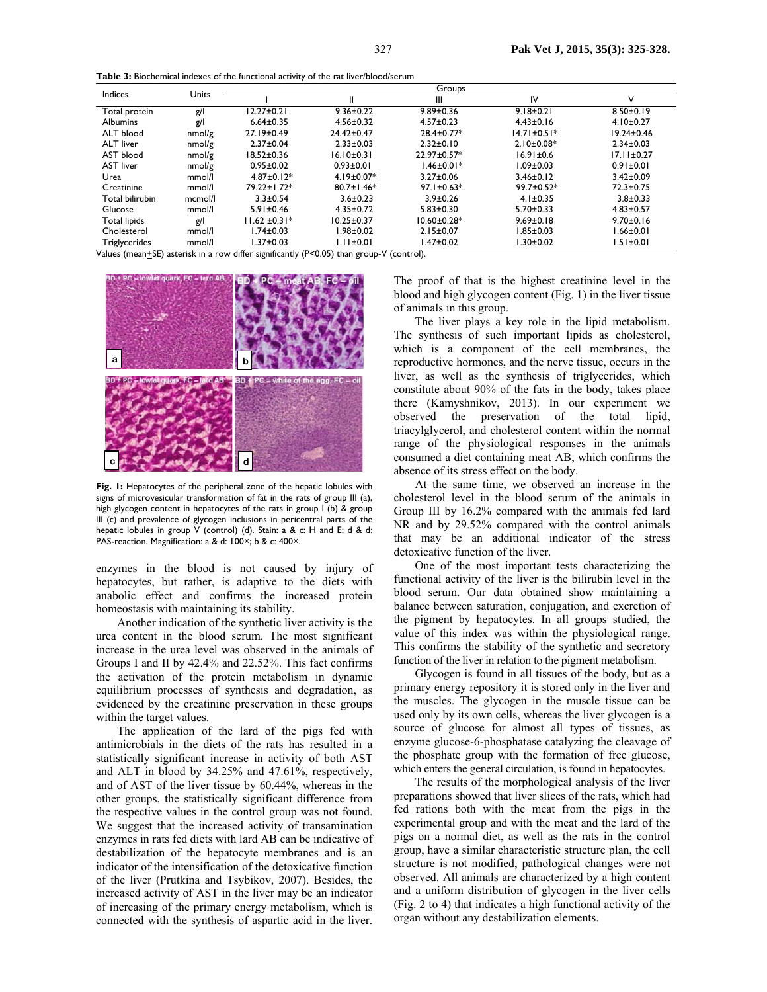**Table 3:** Biochemical indexes of the functional activity of the rat liver/blood/serum

| Indices                         | Units              | Groups            |                  |                                                                                     |                   |                  |  |
|---------------------------------|--------------------|-------------------|------------------|-------------------------------------------------------------------------------------|-------------------|------------------|--|
|                                 |                    |                   | Ш                | Ш                                                                                   | IV                | v                |  |
| Total protein                   | g/l                | $12.27 \pm 0.21$  | $9.36 \pm 0.22$  | $9.89 \pm 0.36$                                                                     | $9.18 \pm 0.21$   | $8.50 \pm 0.19$  |  |
| <b>Albumins</b>                 | g/l                | $6.64 \pm 0.35$   | $4.56 \pm 0.32$  | $4.57 \pm 0.23$                                                                     | $4.43 \pm 0.16$   | $4.10 \pm 0.27$  |  |
| ALT blood                       | nmol/g             | 27.19±0.49        | 24.42±0.47       | 28.4±0.77*                                                                          | $14.71 \pm 0.51*$ | $19.24 \pm 0.46$ |  |
| <b>ALT</b> liver                | nmol/g             | $2.37 \pm 0.04$   | $2.33 \pm 0.03$  | $2.32 \pm 0.10$                                                                     | $2.10 \pm 0.08*$  | $2.34 \pm 0.03$  |  |
| AST blood                       | nmol/g             | $18.52 \pm 0.36$  | $16.10 \pm 0.31$ | 22.97±0.57*                                                                         | $16.91 \pm 0.6$   | $17.11 \pm 0.27$ |  |
| <b>AST liver</b>                | nmol/g             | $0.95 \pm 0.02$   | $0.93 + 0.01$    | $1.46 \pm 0.01*$                                                                    | $1.09 \pm 0.03$   | $0.91 \pm 0.01$  |  |
| Urea                            | mmol/l             | $4.87 \pm 0.12*$  | 4.19±0.07*       | $3.27 \pm 0.06$                                                                     | $3.46 \pm 0.12$   | $3.42 \pm 0.09$  |  |
| Creatinine                      | mmol/l             | 79.22±1.72*       | $80.7 \pm 1.46*$ | $97.1 \pm 0.63*$                                                                    | 99.7±0.52*        | 72.3±0.75        |  |
| Total bilirubin                 | mcmol/l            | $3.3 \pm 0.54$    | $3.6 \pm 0.23$   | $3.9 \pm 0.26$                                                                      | $4.1 \pm 0.35$    | $3.8 + 0.33$     |  |
| Glucose                         | mmol/l             | $5.91 \pm 0.46$   | $4.35 \pm 0.72$  | $5.83 \pm 0.30$                                                                     | $5.70 \pm 0.33$   | $4.83 \pm 0.57$  |  |
| <b>Total lipids</b>             | g/l                | $11.62 \pm 0.31*$ | $10.25 \pm 0.37$ | $10.60 \pm 0.28$ *                                                                  | $9.69 \pm 0.18$   | $9.70 \pm 0.16$  |  |
| Cholesterol                     | mmol/l             | I.74±0.03         | I.98±0.02        | $2.15 \pm 0.07$                                                                     | $1.85 \pm 0.03$   | $1.66 \pm 0.01$  |  |
| Triglycerides<br>$\overline{v}$ | mmol/l<br>$\cdots$ | 1.37±0.03         | $1.11 \pm 0.01$  | $1.47 \pm 0.02$<br>$\mathbf{M}$ $\mathbf{L}$ $\mathbf{L}$ $\mathbf{L}$ $\mathbf{N}$ | $1.30 \pm 0.02$   | $.51 \pm 0.01$   |  |

Values (mean+SE) asterisk in a row differ significantly (P<0.05) than group-V (control).



**Fig. 1:** Hepatocytes of the peripheral zone of the hepatic lobules with signs of microvesicular transformation of fat in the rats of group III (a), high glycogen content in hepatocytes of the rats in group I (b) & group III (c) and prevalence of glycogen inclusions in pericentral parts of the hepatic lobules in group V (control) (d). Stain: a & c: H and E; d & d: PAS-reaction. Magnification: a & d: 100×; b & c: 400×.

enzymes in the blood is not caused by injury of hepatocytes, but rather, is adaptive to the diets with anabolic effect and confirms the increased protein homeostasis with maintaining its stability.

Another indication of the synthetic liver activity is the urea content in the blood serum. The most significant increase in the urea level was observed in the animals of Groups I and II by 42.4% and 22.52%. This fact confirms the activation of the protein metabolism in dynamic equilibrium processes of synthesis and degradation, as evidenced by the creatinine preservation in these groups within the target values.

The application of the lard of the pigs fed with antimicrobials in the diets of the rats has resulted in a statistically significant increase in activity of both AST and ALT in blood by 34.25% and 47.61%, respectively, and of AST of the liver tissue by 60.44%, whereas in the other groups, the statistically significant difference from the respective values in the control group was not found. We suggest that the increased activity of transamination enzymes in rats fed diets with lard AB can be indicative of destabilization of the hepatocyte membranes and is an indicator of the intensification of the detoxicative function of the liver (Prutkina and Tsybikov, 2007). Besides, the increased activity of AST in the liver may be an indicator of increasing of the primary energy metabolism, which is connected with the synthesis of aspartic acid in the liver.

The proof of that is the highest creatinine level in the blood and high glycogen content (Fig. 1) in the liver tissue of animals in this group.

The liver plays a key role in the lipid metabolism. The synthesis of such important lipids as cholesterol, which is a component of the cell membranes, the reproductive hormones, and the nerve tissue, occurs in the liver, as well as the synthesis of triglycerides, which constitute about 90% of the fats in the body, takes place there (Kamyshnikov, 2013). In our experiment we observed the preservation of the total lipid, triacylglycerol, and cholesterol content within the normal range of the physiological responses in the animals consumed a diet containing meat AB, which confirms the absence of its stress effect on the body.

At the same time, we observed an increase in the cholesterol level in the blood serum of the animals in Group III by 16.2% compared with the animals fed lard NR and by 29.52% compared with the control animals that may be an additional indicator of the stress detoxicative function of the liver.

One of the most important tests characterizing the functional activity of the liver is the bilirubin level in the blood serum. Our data obtained show maintaining a balance between saturation, conjugation, and excretion of the pigment by hepatocytes. In all groups studied, the value of this index was within the physiological range. This confirms the stability of the synthetic and secretory function of the liver in relation to the pigment metabolism.

Glycogen is found in all tissues of the body, but as a primary energy repository it is stored only in the liver and the muscles. The glycogen in the muscle tissue can be used only by its own cells, whereas the liver glycogen is a source of glucose for almost all types of tissues, as enzyme glucose-6-phosphatase catalyzing the cleavage of the phosphate group with the formation of free glucose, which enters the general circulation, is found in hepatocytes.

The results of the morphological analysis of the liver preparations showed that liver slices of the rats, which had fed rations both with the meat from the pigs in the experimental group and with the meat and the lard of the pigs on a normal diet, as well as the rats in the control group, have a similar characteristic structure plan, the cell structure is not modified, pathological changes were not observed. All animals are characterized by a high content and a uniform distribution of glycogen in the liver cells (Fig. 2 to 4) that indicates a high functional activity of the organ without any destabilization elements.